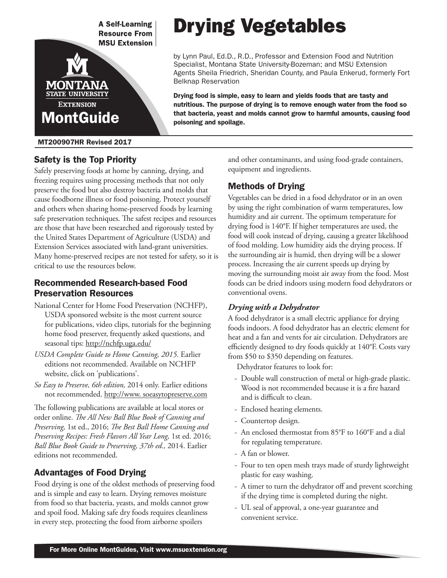

#### MT200907HR Revised 2017

## Safety is the Top Priority

Safely preserving foods at home by canning, drying, and freezing requires using processing methods that not only preserve the food but also destroy bacteria and molds that cause foodborne illness or food poisoning. Protect yourself and others when sharing home-preserved foods by learning safe preservation techniques. The safest recipes and resources are those that have been researched and rigorously tested by the United States Department of Agriculture (USDA) and Extension Services associated with land-grant universities. Many home-preserved recipes are not tested for safety, so it is critical to use the resources below.

## Recommended Research-based Food Preservation Resources

- National Center for Home Food Preservation (NCHFP), USDA sponsored website is the most current source for publications, video clips, tutorials for the beginning home food preserver, frequently asked questions, and seasonal tips: http://nchfp.uga.edu/
- *USDA Complete Guide to Home Canning, 2015.* Earlier editions not recommended. Available on NCHFP website, click on 'publications'.
- *So Easy to Preserve, 6th edition,* 2014 only. Earlier editions not recommended. http://www. soeasytopreserve.com

The following publications are available at local stores or order online. *The All New Ball Blue Book of Canning and Preserving,* 1st ed., 2016; *The Best Ball Home Canning and Preserving Recipes: Fresh Flavors All Year Long,* 1st ed. 2016; *Ball Blue Book Guide to Preserving, 37th ed.,* 2014. Earlier editions not recommended.

## Advantages of Food Drying

Food drying is one of the oldest methods of preserving food and is simple and easy to learn. Drying removes moisture from food so that bacteria, yeasts, and molds cannot grow and spoil food. Making safe dry foods requires cleanliness in every step, protecting the food from airborne spoilers

# Drying Vegetables

by Lynn Paul, Ed.D., R.D., Professor and Extension Food and Nutrition Specialist, Montana State University-Bozeman; and MSU Extension Agents Sheila Friedrich, Sheridan County, and Paula Enkerud, formerly Fort Belknap Reservation

Drying food is simple, easy to learn and yields foods that are tasty and nutritious. The purpose of drying is to remove enough water from the food so that bacteria, yeast and molds cannot grow to harmful amounts, causing food poisoning and spoilage.

> and other contaminants, and using food-grade containers, equipment and ingredients.

## Methods of Drying

Vegetables can be dried in a food dehydrator or in an oven by using the right combination of warm temperatures, low humidity and air current. The optimum temperature for drying food is 140°F. If higher temperatures are used, the food will cook instead of drying, causing a greater likelihood of food molding. Low humidity aids the drying process. If the surrounding air is humid, then drying will be a slower process. Increasing the air current speeds up drying by moving the surrounding moist air away from the food. Most foods can be dried indoors using modern food dehydrators or conventional ovens.

## *Drying with a Dehydrator*

A food dehydrator is a small electric appliance for drying foods indoors. A food dehydrator has an electric element for heat and a fan and vents for air circulation. Dehydrators are efficiently designed to dry foods quickly at 140°F. Costs vary from \$50 to \$350 depending on features.

Dehydrator features to look for:

- Double wall construction of metal or high-grade plastic. Wood is not recommended because it is a fire hazard and is difficult to clean.
- Enclosed heating elements.
- Countertop design.
- An enclosed thermostat from 85°F to 160°F and a dial for regulating temperature.
- A fan or blower.
- Four to ten open mesh trays made of sturdy lightweight plastic for easy washing.
- A timer to turn the dehydrator off and prevent scorching if the drying time is completed during the night.
- UL seal of approval, a one-year guarantee and convenient service.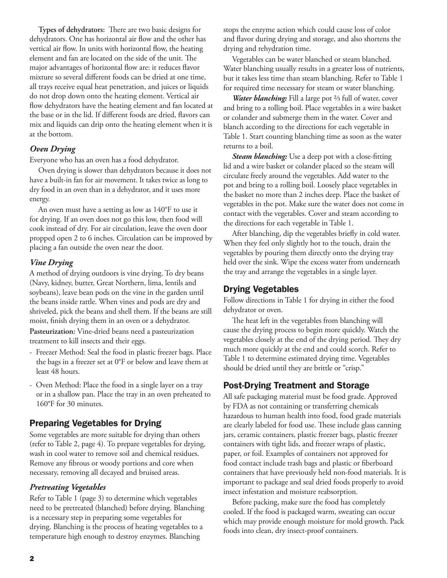**Types of dehydrators:** There are two basic designs for dehydrators. One has horizontal air flow and the other has vertical air flow. In units with horizontal flow, the heating element and fan are located on the side of the unit. The major advantages of horizontal flow are: it reduces flavor mixture so several different foods can be dried at one time, all trays receive equal heat penetration, and juices or liquids do not drop down onto the heating element. Vertical air flow dehydrators have the heating element and fan located at the base or in the lid. If different foods are dried, flavors can mix and liquids can drip onto the heating element when it is at the bottom.

## *Oven Drying*

Everyone who has an oven has a food dehydrator.

Oven drying is slower than dehydrators because it does not have a built-in fan for air movement. It takes twice as long to dry food in an oven than in a dehydrator, and it uses more energy.

An oven must have a setting as low as 140°F to use it for drying. If an oven does not go this low, then food will cook instead of dry. For air circulation, leave the oven door propped open 2 to 6 inches. Circulation can be improved by placing a fan outside the oven near the door.

#### *Vine Drying*

A method of drying outdoors is vine drying. To dry beans (Navy, kidney, butter, Great Northern, lima, lentils and soybeans), leave bean pods on the vine in the garden until the beans inside rattle. When vines and pods are dry and shriveled, pick the beans and shell them. If the beans are still moist, finish drying them in an oven or a dehydrator. **Pasteurization:** Vine-dried beans need a pasteurization treatment to kill insects and their eggs.

- Freezer Method: Seal the food in plastic freezer bags. Place the bags in a freezer set at 0°F or below and leave them at least 48 hours.
- Oven Method: Place the food in a single layer on a tray or in a shallow pan. Place the tray in an oven preheated to 160°F for 30 minutes.

## Preparing Vegetables for Drying

Some vegetables are more suitable for drying than others (refer to Table 2, page 4). To prepare vegetables for drying, wash in cool water to remove soil and chemical residues. Remove any fibrous or woody portions and core when necessary, removing all decayed and bruised areas.

#### *Pretreating Vegetables*

Refer to Table 1 (page 3) to determine which vegetables need to be pretreated (blanched) before drying. Blanching is a necessary step in preparing some vegetables for drying. Blanching is the process of heating vegetables to a temperature high enough to destroy enzymes. Blanching

stops the enzyme action which could cause loss of color and flavor during drying and storage, and also shortens the drying and rehydration time.

Vegetables can be water blanched or steam blanched. Water blanching usually results in a greater loss of nutrients, but it takes less time than steam blanching. Refer to Table 1 for required time necessary for steam or water blanching.

*Water blanching:* Fill a large pot ⅔ full of water, cover and bring to a rolling boil. Place vegetables in a wire basket or colander and submerge them in the water. Cover and blanch according to the directions for each vegetable in Table 1. Start counting blanching time as soon as the water returns to a boil.

*Steam blanching:* Use a deep pot with a close-fitting lid and a wire basket or colander placed so the steam will circulate freely around the vegetables. Add water to the pot and bring to a rolling boil. Loosely place vegetables in the basket no more than 2 inches deep. Place the basket of vegetables in the pot. Make sure the water does not come in contact with the vegetables. Cover and steam according to the directions for each vegetable in Table 1.

After blanching, dip the vegetables briefly in cold water. When they feel only slightly hot to the touch, drain the vegetables by pouring them directly onto the drying tray held over the sink. Wipe the excess water from underneath the tray and arrange the vegetables in a single layer.

#### Drying Vegetables

Follow directions in Table 1 for drying in either the food dehydrator or oven.

The heat left in the vegetables from blanching will cause the drying process to begin more quickly. Watch the vegetables closely at the end of the drying period. They dry much more quickly at the end and could scorch. Refer to Table 1 to determine estimated drying time. Vegetables should be dried until they are brittle or "crisp."

## Post-Drying Treatment and Storage

All safe packaging material must be food grade. Approved by FDA as not containing or transferring chemicals hazardous to human health into food, food grade materials are clearly labeled for food use. These include glass canning jars, ceramic containers, plastic freezer bags, plastic freezer containers with tight lids, and freezer wraps of plastic, paper, or foil. Examples of containers not approved for food contact include trash bags and plastic or fiberboard containers that have previously held non-food materials. It is important to package and seal dried foods properly to avoid insect infestation and moisture reabsorption.

Before packing, make sure the food has completely cooled. If the food is packaged warm, sweating can occur which may provide enough moisture for mold growth. Pack foods into clean, dry insect-proof containers.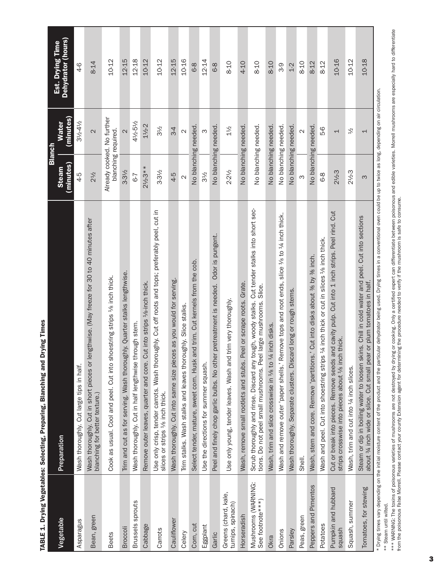|                                           |                                                                                                                                                                                                                                | <b>Blanch</b>                                     |                           |                                        |
|-------------------------------------------|--------------------------------------------------------------------------------------------------------------------------------------------------------------------------------------------------------------------------------|---------------------------------------------------|---------------------------|----------------------------------------|
| Vegetable                                 | Preparation                                                                                                                                                                                                                    | (minutes)<br><b>Steam</b>                         | (minutes)<br><b>Water</b> | Est. Drying Time<br>Dehydrator (hours) |
| Asparagus                                 | Wash thoroughly. Cut large tips in half.                                                                                                                                                                                       | $4-5$                                             | 31/2-41/2                 | $4-6$                                  |
| Bean, green                               | Wash thoroughly. Cut in short pieces or lengthwise. (May freeze for 30 to 40 minutes after<br>blanching for better texture.)                                                                                                   | 2½                                                | $\mathbf{\Omega}$         | 8-14                                   |
| <b>Beets</b>                              | Cook as usual. Cool and peel. Cut into shoestring strips $\frac{1}{2}$ inch thick.                                                                                                                                             | Already cooked. No further<br>blanching required. |                           | 10-12                                  |
| Broccoli                                  | Trim and cut as for serving. Wash thoroughly. Quarter stalks lengthwise.                                                                                                                                                       | $3 - 31/2$                                        | $\overline{\mathcal{C}}$  | 12-15                                  |
| Brussels sprouts                          | Wash thoroughly. Cut in half lengthwise through stem.                                                                                                                                                                          | 67                                                | 41/2-51/2                 | 12-18                                  |
| Cabbage                                   | Remove outer leaves, quarter and core. Cut into strips 1/8-inch thick.                                                                                                                                                         | $2\frac{1}{2}$ -3**                               | 11/2-2                    | 10-12                                  |
| Carrots                                   | Use only crisp, tender carrots. Wash thoroughly. Cut off roots and tops; preferably peel, cut in<br>slices or strips 1/8 inch thick.                                                                                           | $3 - 31/2$                                        | 3½                        | 10-12                                  |
| Cauliflower                               | Wash thoroughly. Cut into same size pieces as you would for serving.                                                                                                                                                           | $4-5$                                             | 3-4                       | 12-15                                  |
| Celery                                    | Trim stalks. Wash stalks and leaves thoroughly. Slice stalks.                                                                                                                                                                  | $\mathbf{\Omega}$                                 | $\mathbf{\Omega}$         | 10-16                                  |
| Corn, cut                                 | Select tender, mature, sweet corn. Husk and trim. Cut kernels from the cob.                                                                                                                                                    | No blanching needed.                              |                           | 6-8                                    |
| Eggplant                                  | Use the directions for summer squash.                                                                                                                                                                                          | 3½                                                | ო                         | 12-14                                  |
| Garlic                                    | pretreatment is needed. Odor is pungent.<br>Peel and finely chop garlic bulbs. No other                                                                                                                                        | No blanching needed.                              |                           | 68                                     |
| Greens (chard, kale,<br>turnips, spinach) | Use only young, tender leaves. Wash and trim very thoroughly.                                                                                                                                                                  | 2-2½                                              | 11/2                      | 8-10                                   |
| Horseradish                               | Wash, remove small rootlets and stubs. Peel or scrape roots. Grate.                                                                                                                                                            | No blanching needed.                              |                           | 4-10                                   |
| Mushrooms (WARNING:<br>See footnote***)   | Scrub thoroughly and rinse. Discard any tough, woody stalks. Cut tender stalks into short sec-<br>large mushrooms. Slice.<br>tions. Do not peel small mushrooms. Peel                                                          | No blanching needed.                              |                           | 8-10                                   |
| Okra                                      | Wash, trim and slice crosswise in $\frac{1}{6}$ to $\frac{1}{4}$ inch disks.                                                                                                                                                   | No blanching needed.                              |                           | 8-10                                   |
| Onions                                    | Wash and remove outer 'paper shells.' Remove tops and root ends, slice 1/8 to 1/4 inch thick.                                                                                                                                  | No blanching needed.                              |                           | 3-9                                    |
| Parsley                                   | Wash thoroughly. Separate clusters. Discard long or rough stems.                                                                                                                                                               | No blanching needed.                              |                           | $1-2$                                  |
| Peas, green                               | Shell.                                                                                                                                                                                                                         |                                                   |                           | 8-10                                   |
| Peppers and Pimentos                      | ' Cut into disks about % by % inch.<br>Wash, stem and core. Remove 'partitions.'                                                                                                                                               | No blanching needed.                              |                           | 8-12                                   |
| Potatoes                                  | Wash and peel. Cut into shoestring strips 44 inch thick or cut in slices 48 inch thick.                                                                                                                                        | <u>ဇ</u> ာ                                        | 56                        | 8-12                                   |
| Pumpkin and hubbard<br>squash             | Cut or break into pieces. Remove seeds and cavity pulp. Cut into 1 inch strips. Peel rind. Cut<br>strips crosswise into pieces about 4/8 inch thick.                                                                           | 24/23                                             | 4                         | 10-16                                  |
| Squash, summer                            | Wash, trim and cut into 1/4 inch slices.                                                                                                                                                                                       | $2\frac{1}{2}3$                                   | $\frac{1}{2}$             | 10-12                                  |
| Tomatoes, for stewing                     | Steam or dip in boiling water to loosen skins. Chill in cold water and peel. Cut into sections<br>about 34 inch wide or slice. Cut small pear or plum tomatoes in half.                                                        | ო                                                 | 1                         | 10-18                                  |
|                                           | k Drund in an and an thai maisting material match of the world wind and the and the point in a comment of provided in a content of the comment of the content of the content of the content of the content of the content of t |                                                   |                           |                                        |

TABLE 1. Drying Vegetables: Selecting, Preparing, Blanching and Drying Times TABLE 1. Drying Vegetables: Selecting, Preparing, Blanching and Drying Times

\* Drying times vary depending on the initial moisture content of the product and the particular dehydrator being used. Drying times in a conventional oven could be up to twice as long, depending on air circulation. circulation. ng on air ould be up to twice as long, dep ed. Drying times being us ă or tre 5<br>မူ Drying times vary dep

\*\* Steam until wilted. \*\* Steam until wilted.

\*\*\* WARNING: The toxins of poisonous varieties of mushrooms are not destroyed by drying or cooking. Only a certified expert can differentiate between poisonous and edible varieties. Morrell mushrooms are especially hard to \*\*\* WARNING: The toxins of poisonous varieties of mushrooms are not destroyed by drighted colking, only a certified expert can differentiate between poisonous and edible varieties. Morrell mushrooms are especially hard to from the poisonous False Morrell. Please contact your county Extension agent for determining the procedure needed to verify if the mushroom is safe to consume.